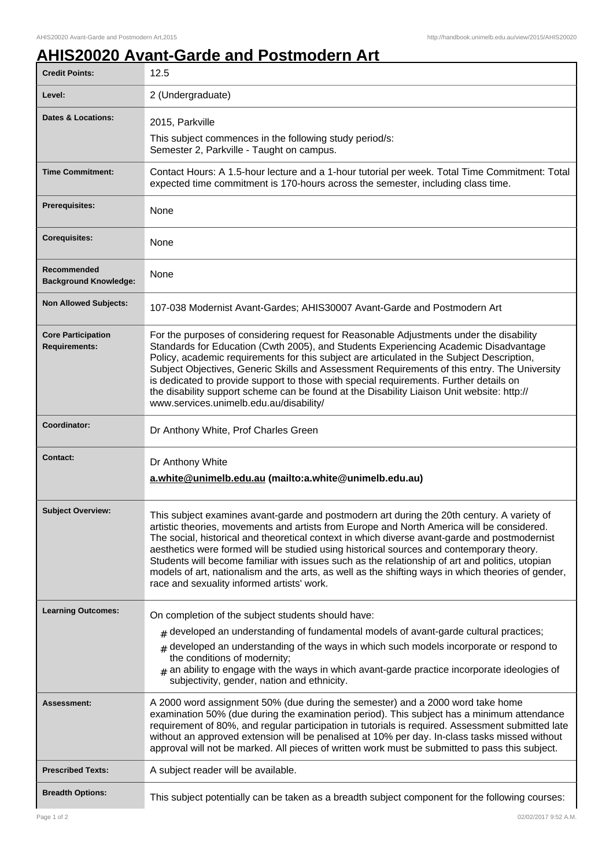## **AHIS20020 Avant-Garde and Postmodern Art**

| <b>Credit Points:</b>                             | 12.5                                                                                                                                                                                                                                                                                                                                                                                                                                                                                                                                                                                                                                         |
|---------------------------------------------------|----------------------------------------------------------------------------------------------------------------------------------------------------------------------------------------------------------------------------------------------------------------------------------------------------------------------------------------------------------------------------------------------------------------------------------------------------------------------------------------------------------------------------------------------------------------------------------------------------------------------------------------------|
| Level:                                            | 2 (Undergraduate)                                                                                                                                                                                                                                                                                                                                                                                                                                                                                                                                                                                                                            |
| <b>Dates &amp; Locations:</b>                     | 2015, Parkville                                                                                                                                                                                                                                                                                                                                                                                                                                                                                                                                                                                                                              |
|                                                   | This subject commences in the following study period/s:<br>Semester 2, Parkville - Taught on campus.                                                                                                                                                                                                                                                                                                                                                                                                                                                                                                                                         |
| <b>Time Commitment:</b>                           | Contact Hours: A 1.5-hour lecture and a 1-hour tutorial per week. Total Time Commitment: Total<br>expected time commitment is 170-hours across the semester, including class time.                                                                                                                                                                                                                                                                                                                                                                                                                                                           |
| <b>Prerequisites:</b>                             | None                                                                                                                                                                                                                                                                                                                                                                                                                                                                                                                                                                                                                                         |
| <b>Corequisites:</b>                              | None                                                                                                                                                                                                                                                                                                                                                                                                                                                                                                                                                                                                                                         |
| Recommended<br><b>Background Knowledge:</b>       | None                                                                                                                                                                                                                                                                                                                                                                                                                                                                                                                                                                                                                                         |
| <b>Non Allowed Subjects:</b>                      | 107-038 Modernist Avant-Gardes; AHIS30007 Avant-Garde and Postmodern Art                                                                                                                                                                                                                                                                                                                                                                                                                                                                                                                                                                     |
| <b>Core Participation</b><br><b>Requirements:</b> | For the purposes of considering request for Reasonable Adjustments under the disability<br>Standards for Education (Cwth 2005), and Students Experiencing Academic Disadvantage<br>Policy, academic requirements for this subject are articulated in the Subject Description,<br>Subject Objectives, Generic Skills and Assessment Requirements of this entry. The University<br>is dedicated to provide support to those with special requirements. Further details on<br>the disability support scheme can be found at the Disability Liaison Unit website: http://<br>www.services.unimelb.edu.au/disability/                             |
| Coordinator:                                      | Dr Anthony White, Prof Charles Green                                                                                                                                                                                                                                                                                                                                                                                                                                                                                                                                                                                                         |
| <b>Contact:</b>                                   | Dr Anthony White<br>a.white@unimelb.edu.au (mailto:a.white@unimelb.edu.au)                                                                                                                                                                                                                                                                                                                                                                                                                                                                                                                                                                   |
| <b>Subject Overview:</b>                          | This subject examines avant-garde and postmodern art during the 20th century. A variety of<br>artistic theories, movements and artists from Europe and North America will be considered.<br>The social, historical and theoretical context in which diverse avant-garde and postmodernist<br>aesthetics were formed will be studied using historical sources and contemporary theory.<br>Students will become familiar with issues such as the relationship of art and politics, utopian<br>models of art, nationalism and the arts, as well as the shifting ways in which theories of gender,<br>race and sexuality informed artists' work. |
| <b>Learning Outcomes:</b>                         | On completion of the subject students should have:<br>$_{\#}$ developed an understanding of fundamental models of avant-garde cultural practices;<br>developed an understanding of the ways in which such models incorporate or respond to<br>the conditions of modernity;<br>$#$ an ability to engage with the ways in which avant-garde practice incorporate ideologies of<br>subjectivity, gender, nation and ethnicity.                                                                                                                                                                                                                  |
| <b>Assessment:</b>                                | A 2000 word assignment 50% (due during the semester) and a 2000 word take home<br>examination 50% (due during the examination period). This subject has a minimum attendance<br>requirement of 80%, and regular participation in tutorials is required. Assessment submitted late<br>without an approved extension will be penalised at 10% per day. In-class tasks missed without<br>approval will not be marked. All pieces of written work must be submitted to pass this subject.                                                                                                                                                        |
| <b>Prescribed Texts:</b>                          | A subject reader will be available.                                                                                                                                                                                                                                                                                                                                                                                                                                                                                                                                                                                                          |
| <b>Breadth Options:</b>                           | This subject potentially can be taken as a breadth subject component for the following courses:                                                                                                                                                                                                                                                                                                                                                                                                                                                                                                                                              |